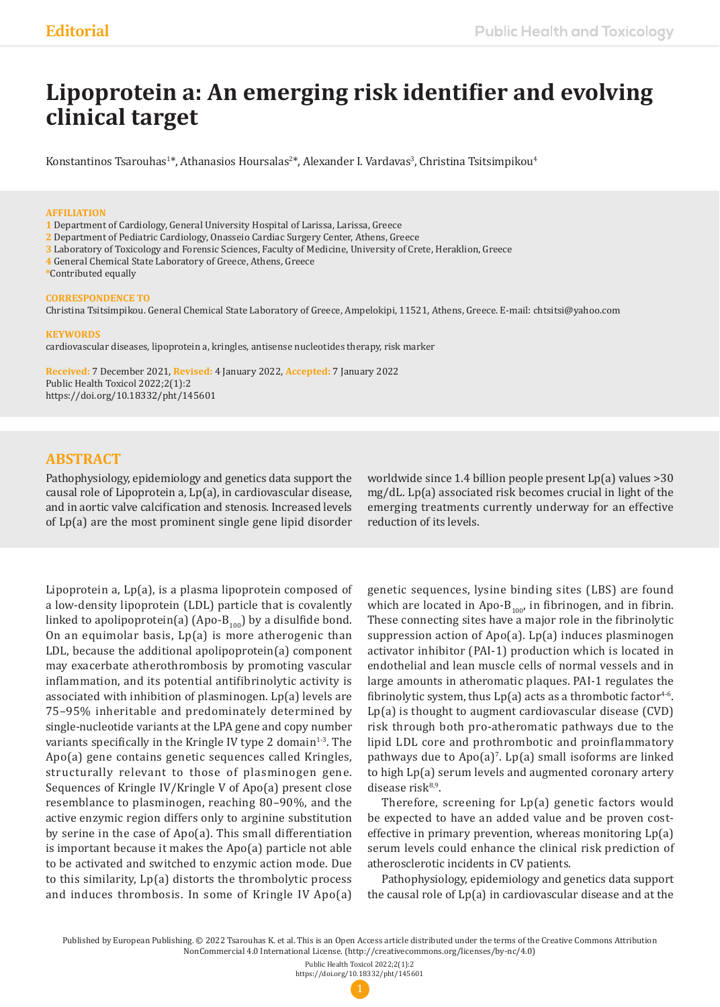# **Lipoprotein a: An emerging risk identifier and evolving clinical target**

Konstantinos Tsarouhas<sup>1\*</sup>, Athanasios Hoursalas<sup>2\*</sup>, Alexander I. Vardavas<sup>3</sup>, Christina Tsitsimpikou<sup>4</sup>

## **AFFILIATION**

**1** Department of Cardiology, General University Hospital of Larissa, Larissa, Greece

- **2** Department of Pediatric Cardiology, Onasseio Cardiac Surgery Center, Athens, Greece
- **3** Laboratory of Toxicology and Forensic Sciences, Faculty of Medicine, University of Crete, Heraklion, Greece
- **4** General Chemical State Laboratory of Greece, Athens, Greece
- **\***Contributed equally

## **CORRESPONDENCE TO**

Christina Tsitsimpikou. General Chemical State Laboratory of Greece, Ampelokipi, 11521, Athens, Greece. E-mail: chtsitsi@yahoo.com

## **KEYWORDS**

cardiovascular diseases, lipoprotein a, kringles, antisense nucleotides therapy, risk marker

**Received:** 7 December 2021, **Revised:** 4 January 2022, **Accepted:** 7 January 2022 Public Health Toxicol 2022;2(1):2 https://doi.org/10.18332/pht/145601

# **ABSTRACT**

Pathophysiology, epidemiology and genetics data support the causal role of Lipoprotein a, Lp(a), in cardiovascular disease, and in aortic valve calcification and stenosis. Increased levels of Lp(a) are the most prominent single gene lipid disorder

Lipoprotein a, Lp(a), is a plasma lipoprotein composed of a low-density lipoprotein (LDL) particle that is covalently linked to apolipoprotein(a) (Apo- $B_{100}$ ) by a disulfide bond. On an equimolar basis, Lp(a) is more atherogenic than LDL, because the additional apolipoprotein(a) component may exacerbate atherothrombosis by promoting vascular inflammation, and its potential antifibrinolytic activity is associated with inhibition of plasminogen. Lp(a) levels are 75–95% inheritable and predominately determined by single-nucleotide variants at the LPA gene and copy number variants specifically in the Kringle IV type 2 domain $1-3$ . The Apo(a) gene contains genetic sequences called Kringles, structurally relevant to those of plasminogen gene. Sequences of Kringle IV/Kringle V of Apo(a) present close resemblance to plasminogen, reaching 80–90%, and the active enzymic region differs only to arginine substitution by serine in the case of Apo(a). This small differentiation is important because it makes the Apo(a) particle not able to be activated and switched to enzymic action mode. Due to this similarity, Lp(a) distorts the thrombolytic process and induces thrombosis. In some of Kringle IV Apo(a)

worldwide since 1.4 billion people present Lp(a) values >30 mg/dL. Lp(a) associated risk becomes crucial in light of the emerging treatments currently underway for an effective reduction of its levels.

genetic sequences, lysine binding sites (LBS) are found which are located in Apo- $B_{100}$ , in fibrinogen, and in fibrin. These connecting sites have a major role in the fibrinolytic suppression action of Apo(a). Lp(a) induces plasminogen activator inhibitor (PAI-1) production which is located in endothelial and lean muscle cells of normal vessels and in large amounts in atheromatic plaques. PAI-1 regulates the fibrinolytic system, thus  $Lp(a)$  acts as a thrombotic factor<sup>4-6</sup>. Lp(a) is thought to augment cardiovascular disease (CVD) risk through both pro-atheromatic pathways due to the lipid LDL core and prothrombotic and proinflammatory pathways due to  $\text{Apo(a)}^{\text{7}}$ . Lp(a) small isoforms are linked to high Lp(a) serum levels and augmented coronary artery disease risk<sup>8,9</sup>.

Therefore, screening for Lp(a) genetic factors would be expected to have an added value and be proven costeffective in primary prevention, whereas monitoring Lp(a) serum levels could enhance the clinical risk prediction of atherosclerotic incidents in CV patients.

Pathophysiology, epidemiology and genetics data support the causal role of Lp(a) in cardiovascular disease and at the

Published by European Publishing. © 2022 Tsarouhas K. et al. This is an Open Access article distributed under the terms of the Creative Commons Attribution NonCommercial 4.0 International License. (http://creativecommons.org/licenses/by-nc/4.0)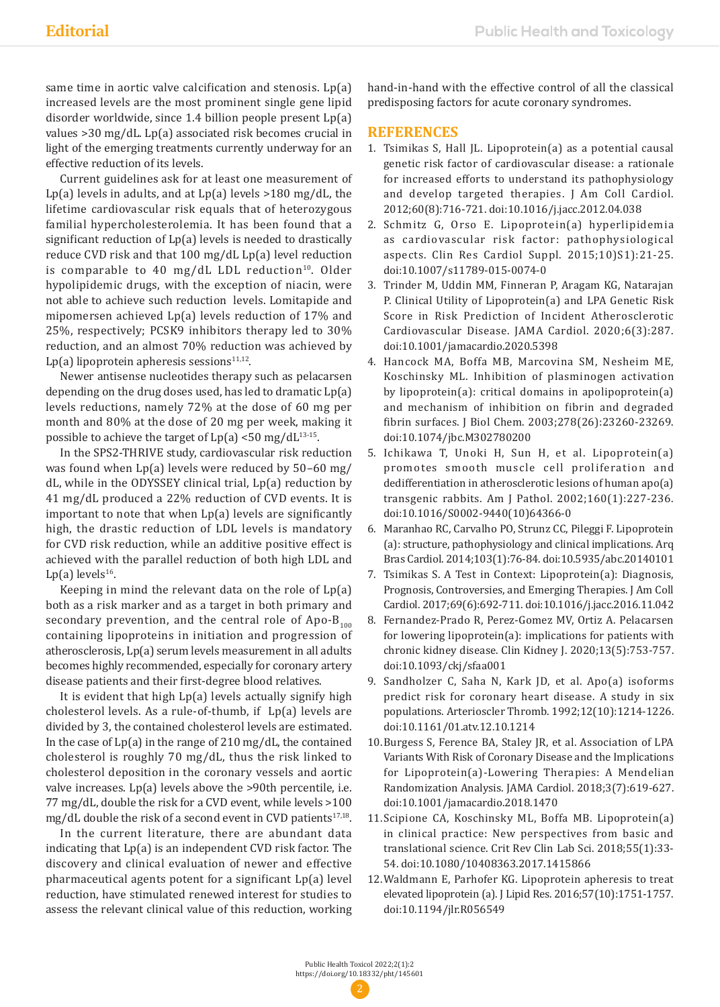same time in aortic valve calcification and stenosis. Lp(a) increased levels are the most prominent single gene lipid disorder worldwide, since 1.4 billion people present Lp(a) values >30 mg/dL. Lp(a) associated risk becomes crucial in light of the emerging treatments currently underway for an effective reduction of its levels.

Current guidelines ask for at least one measurement of Lp(a) levels in adults, and at  $Lp(a)$  levels >180 mg/dL, the lifetime cardiovascular risk equals that of heterozygous familial hypercholesterolemia. It has been found that a significant reduction of Lp(a) levels is needed to drastically reduce CVD risk and that 100 mg/dL Lp(a) level reduction is comparable to 40 mg/dL LDL reduction<sup>10</sup>. Older hypolipidemic drugs, with the exception of niacin, were not able to achieve such reduction levels. Lomitapide and mipomersen achieved Lp(a) levels reduction of 17% and 25%, respectively; PCSK9 inhibitors therapy led to 30% reduction, and an almost 70% reduction was achieved by Lp(a) lipoprotein apheresis sessions $11,12$ .

Newer antisense nucleotides therapy such as pelacarsen depending on the drug doses used, has led to dramatic Lp(a) levels reductions, namely 72% at the dose of 60 mg per month and 80% at the dose of 20 mg per week, making it possible to achieve the target of  $Lp(a) < 50$  mg/d $L^{13 \cdot 15}$ .

In the SPS2-THRIVE study, cardiovascular risk reduction was found when Lp(a) levels were reduced by 50–60 mg/ dL, while in the ODYSSEY clinical trial, Lp(a) reduction by 41 mg/dL produced a 22% reduction of CVD events. It is important to note that when Lp(a) levels are significantly high, the drastic reduction of LDL levels is mandatory for CVD risk reduction, while an additive positive effect is achieved with the parallel reduction of both high LDL and Lp(a) levels $16$ .

Keeping in mind the relevant data on the role of Lp(a) both as a risk marker and as a target in both primary and secondary prevention, and the central role of Apo- $B_{100}$ containing lipoproteins in initiation and progression of atherosclerosis, Lp(a) serum levels measurement in all adults becomes highly recommended, especially for coronary artery disease patients and their first-degree blood relatives.

It is evident that high Lp(a) levels actually signify high cholesterol levels. As a rule-of-thumb, if Lp(a) levels are divided by 3, the contained cholesterol levels are estimated. In the case of Lp(a) in the range of 210 mg/dL, the contained cholesterol is roughly 70 mg/dL, thus the risk linked to cholesterol deposition in the coronary vessels and aortic valve increases. Lp(a) levels above the >90th percentile, i.e. 77 mg/dL, double the risk for a CVD event, while levels >100 mg/dL double the risk of a second event in CVD patients<sup>17,18</sup>.

In the current literature, there are abundant data indicating that Lp(a) is an independent CVD risk factor. The discovery and clinical evaluation of newer and effective pharmaceutical agents potent for a significant Lp(a) level reduction, have stimulated renewed interest for studies to assess the relevant clinical value of this reduction, working hand-in-hand with the effective control of all the classical predisposing factors for acute coronary syndromes.

# **REFERENCES**

- 1. Tsimikas S, Hall JL. Lipoprotein(a) as a potential causal genetic risk factor of cardiovascular disease: a rationale for increased efforts to understand its pathophysiology and develop targeted therapies. J Am Coll Cardiol. 2012;60(8):716-721. doi:10.1016/j.jacc.2012.04.038
- 2. Schmitz G, Orso E. Lipoprotein(a) hyperlipidemia as cardiovascular risk factor: pathophysiological aspects. Clin Res Cardiol Suppl. 2015;10)S1):21-25. doi:10.1007/s11789-015-0074-0
- 3. Trinder M, Uddin MM, Finneran P, Aragam KG, Natarajan P. Clinical Utility of Lipoprotein(a) and LPA Genetic Risk Score in Risk Prediction of Incident Atherosclerotic Cardiovascular Disease. JAMA Cardiol. 2020;6(3):287. doi:10.1001/jamacardio.2020.5398
- 4. Hancock MA, Boffa MB, Marcovina SM, Nesheim ME, Koschinsky ML. Inhibition of plasminogen activation by lipoprotein(a): critical domains in apolipoprotein(a) and mechanism of inhibition on fibrin and degraded fibrin surfaces. J Biol Chem. 2003;278(26):23260-23269. doi:10.1074/jbc.M302780200
- 5. Ichikawa T, Unoki H, Sun H, et al. Lipoprotein(a) promotes smooth muscle cell proliferation and dedifferentiation in atherosclerotic lesions of human apo(a) transgenic rabbits. Am J Pathol. 2002;160(1):227-236. doi:10.1016/S0002-9440(10)64366-0
- 6. Maranhao RC, Carvalho PO, Strunz CC, Pileggi F. Lipoprotein (a): structure, pathophysiology and clinical implications. Arq Bras Cardiol. 2014;103(1):76-84. doi:10.5935/abc.20140101
- 7. Tsimikas S. A Test in Context: Lipoprotein(a): Diagnosis, Prognosis, Controversies, and Emerging Therapies. J Am Coll Cardiol. 2017;69(6):692-711. doi:10.1016/j.jacc.2016.11.042
- 8. Fernandez-Prado R, Perez-Gomez MV, Ortiz A. Pelacarsen for lowering lipoprotein(a): implications for patients with chronic kidney disease. Clin Kidney J. 2020;13(5):753-757. doi:10.1093/ckj/sfaa001
- 9. Sandholzer C, Saha N, Kark JD, et al. Apo(a) isoforms predict risk for coronary heart disease. A study in six populations. Arterioscler Thromb. 1992;12(10):1214-1226. doi:10.1161/01.atv.12.10.1214
- 10.Burgess S, Ference BA, Staley JR, et al. Association of LPA Variants With Risk of Coronary Disease and the Implications for Lipoprotein(a)-Lowering Therapies: A Mendelian Randomization Analysis. JAMA Cardiol. 2018;3(7):619-627. doi:10.1001/jamacardio.2018.1470
- 11.Scipione CA, Koschinsky ML, Boffa MB. Lipoprotein(a) in clinical practice: New perspectives from basic and translational science. Crit Rev Clin Lab Sci. 2018;55(1):33- 54. doi:10.1080/10408363.2017.1415866
- 12.Waldmann E, Parhofer KG. Lipoprotein apheresis to treat elevated lipoprotein (a). J Lipid Res. 2016;57(10):1751-1757. doi:10.1194/jlr.R056549